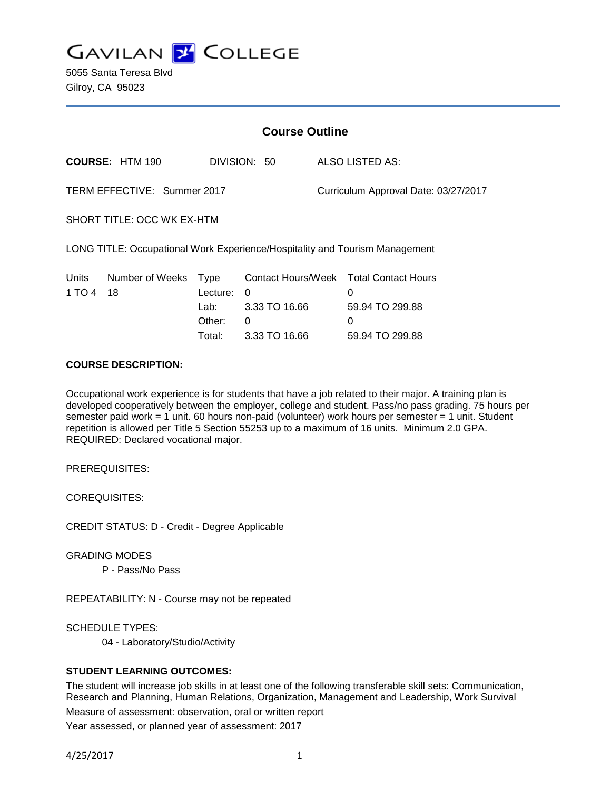

5055 Santa Teresa Blvd Gilroy, CA 95023

| <b>Course Outline</b>                    |                                              |                                                                       |                                                                             |  |
|------------------------------------------|----------------------------------------------|-----------------------------------------------------------------------|-----------------------------------------------------------------------------|--|
| <b>COURSE: HTM 190</b>                   |                                              | DIVISION: 50                                                          | ALSO LISTED AS:                                                             |  |
| TERM EFFECTIVE: Summer 2017              |                                              |                                                                       | Curriculum Approval Date: 03/27/2017                                        |  |
| SHORT TITLE: OCC WK EX-HTM               |                                              |                                                                       |                                                                             |  |
|                                          |                                              |                                                                       | LONG TITLE: Occupational Work Experience/Hospitality and Tourism Management |  |
| Number of Weeks<br>Units<br>1 TO 4<br>18 | Type<br>Lecture:<br>Lab:<br>Other:<br>Total: | <b>Contact Hours/Week</b><br>0<br>3.33 TO 16.66<br>0<br>3.33 TO 16.66 | <b>Total Contact Hours</b><br>0<br>59.94 TO 299.88<br>0<br>59.94 TO 299.88  |  |

#### **COURSE DESCRIPTION:**

Occupational work experience is for students that have a job related to their major. A training plan is developed cooperatively between the employer, college and student. Pass/no pass grading. 75 hours per semester paid work = 1 unit. 60 hours non-paid (volunteer) work hours per semester = 1 unit. Student repetition is allowed per Title 5 Section 55253 up to a maximum of 16 units. Minimum 2.0 GPA. REQUIRED: Declared vocational major.

PREREQUISITES:

COREQUISITES:

CREDIT STATUS: D - Credit - Degree Applicable

GRADING MODES

P - Pass/No Pass

REPEATABILITY: N - Course may not be repeated

SCHEDULE TYPES:

04 - Laboratory/Studio/Activity

### **STUDENT LEARNING OUTCOMES:**

The student will increase job skills in at least one of the following transferable skill sets: Communication, Research and Planning, Human Relations, Organization, Management and Leadership, Work Survival Measure of assessment: observation, oral or written report Year assessed, or planned year of assessment: 2017